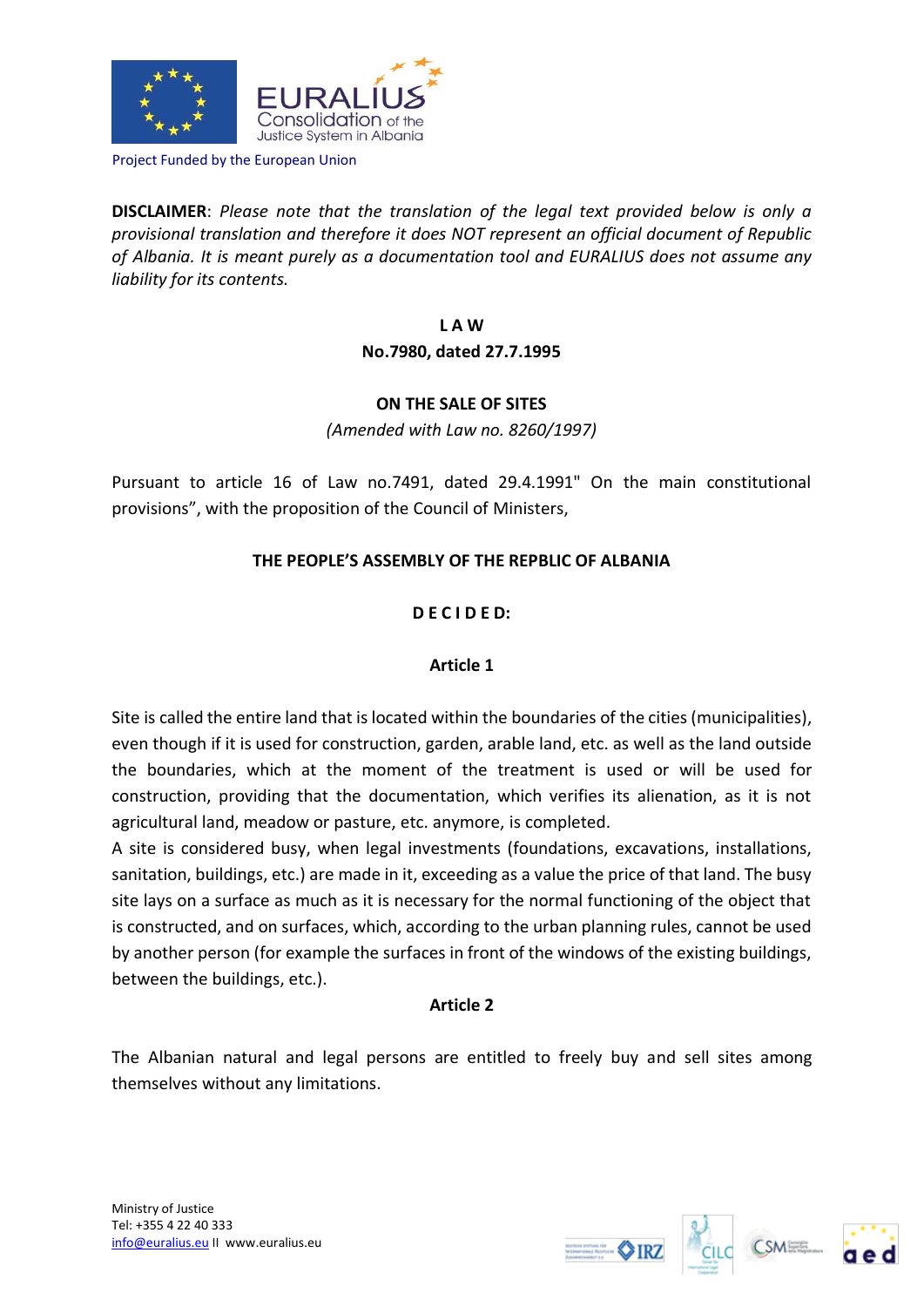

Project Funded by the European Union

**DISCLAIMER**: *Please note that the translation of the legal text provided below is only a provisional translation and therefore it does NOT represent an official document of Republic of Albania. It is meant purely as a documentation tool and EURALIUS does not assume any liability for its contents.*

> **L A W No.7980, dated 27.7.1995**

## **ON THE SALE OF SITES**

*(Amended with Law no. 8260/1997)*

Pursuant to article 16 of Law no.7491, dated 29.4.1991" On the main constitutional provisions", with the proposition of the Council of Ministers,

# **THE PEOPLE'S ASSEMBLY OF THE REPBLIC OF ALBANIA**

## **D E C I D E D:**

## **Article 1**

Site is called the entire land that is located within the boundaries of the cities (municipalities), even though if it is used for construction, garden, arable land, etc. as well as the land outside the boundaries, which at the moment of the treatment is used or will be used for construction, providing that the documentation, which verifies its alienation, as it is not agricultural land, meadow or pasture, etc. anymore, is completed.

A site is considered busy, when legal investments (foundations, excavations, installations, sanitation, buildings, etc.) are made in it, exceeding as a value the price of that land. The busy site lays on a surface as much as it is necessary for the normal functioning of the object that is constructed, and on surfaces, which, according to the urban planning rules, cannot be used by another person (for example the surfaces in front of the windows of the existing buildings, between the buildings, etc.).

## **Article 2**

The Albanian natural and legal persons are entitled to freely buy and sell sites among themselves without any limitations.





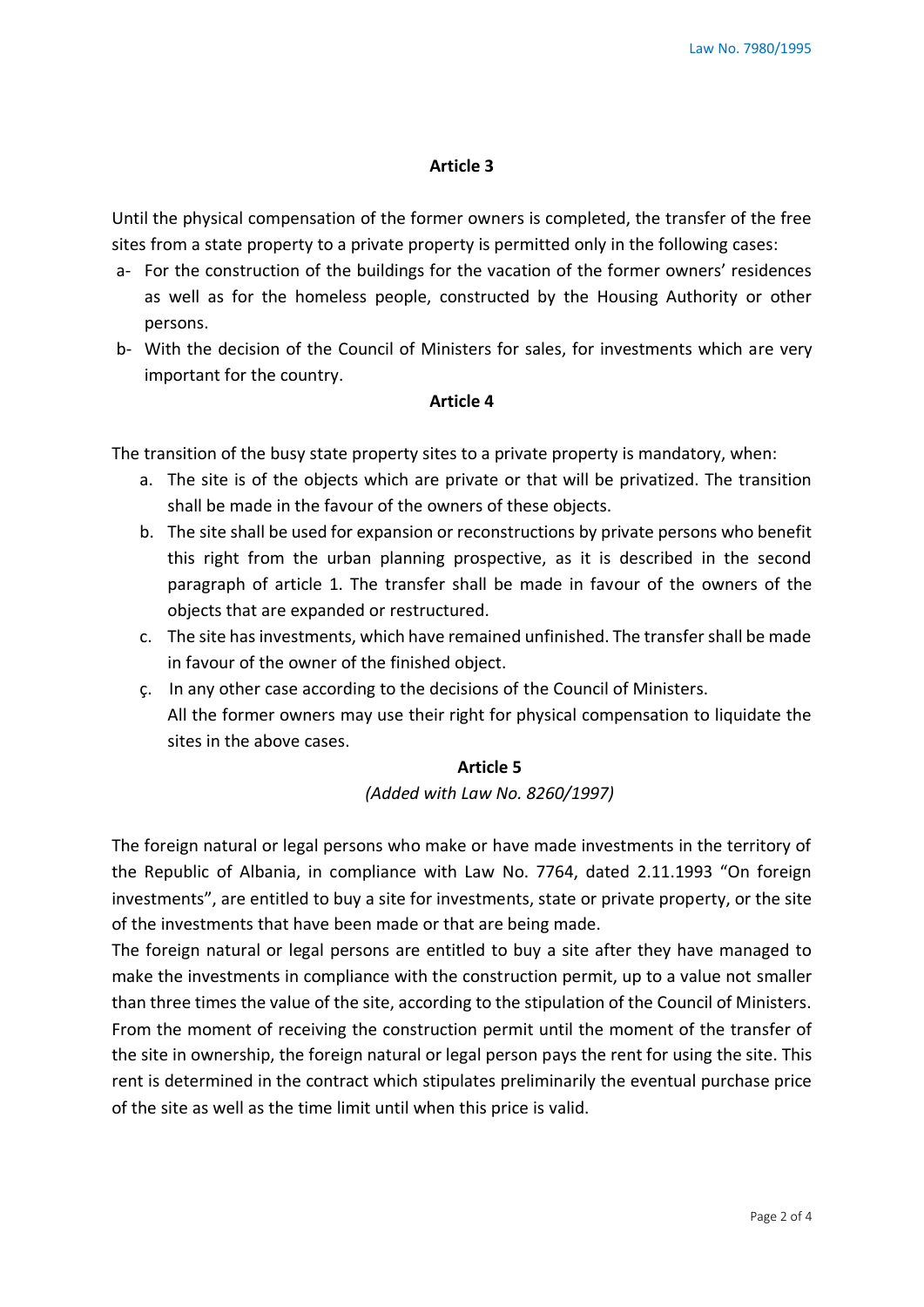#### **Article 3**

Until the physical compensation of the former owners is completed, the transfer of the free sites from a state property to a private property is permitted only in the following cases:

- a- For the construction of the buildings for the vacation of the former owners' residences as well as for the homeless people, constructed by the Housing Authority or other persons.
- b- With the decision of the Council of Ministers for sales, for investments which are very important for the country.

#### **Article 4**

The transition of the busy state property sites to a private property is mandatory, when:

- a. The site is of the objects which are private or that will be privatized. The transition shall be made in the favour of the owners of these objects.
- b. The site shall be used for expansion or reconstructions by private persons who benefit this right from the urban planning prospective, as it is described in the second paragraph of article 1. The transfer shall be made in favour of the owners of the objects that are expanded or restructured.
- c. The site has investments, which have remained unfinished. The transfer shall be made in favour of the owner of the finished object.
- ç. In any other case according to the decisions of the Council of Ministers. All the former owners may use their right for physical compensation to liquidate the sites in the above cases.

### **Article 5**

*(Added with Law No. 8260/1997)*

The foreign natural or legal persons who make or have made investments in the territory of the Republic of Albania, in compliance with Law No. 7764, dated 2.11.1993 "On foreign investments", are entitled to buy a site for investments, state or private property, or the site of the investments that have been made or that are being made.

The foreign natural or legal persons are entitled to buy a site after they have managed to make the investments in compliance with the construction permit, up to a value not smaller than three times the value of the site, according to the stipulation of the Council of Ministers. From the moment of receiving the construction permit until the moment of the transfer of the site in ownership, the foreign natural or legal person pays the rent for using the site. This rent is determined in the contract which stipulates preliminarily the eventual purchase price of the site as well as the time limit until when this price is valid.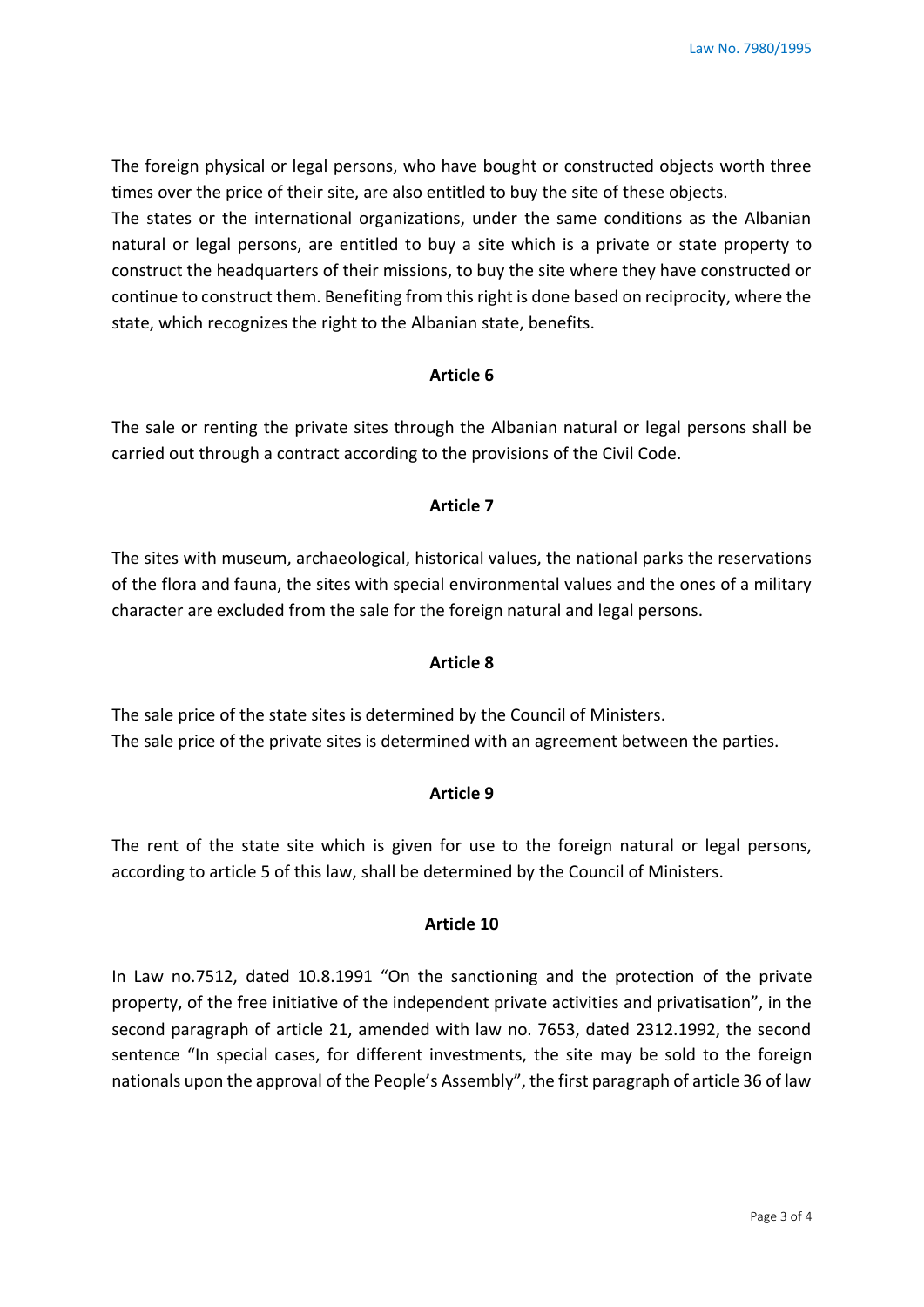The foreign physical or legal persons, who have bought or constructed objects worth three times over the price of their site, are also entitled to buy the site of these objects.

The states or the international organizations, under the same conditions as the Albanian natural or legal persons, are entitled to buy a site which is a private or state property to construct the headquarters of their missions, to buy the site where they have constructed or continue to construct them. Benefiting from this right is done based on reciprocity, where the state, which recognizes the right to the Albanian state, benefits.

#### **Article 6**

The sale or renting the private sites through the Albanian natural or legal persons shall be carried out through a contract according to the provisions of the Civil Code.

## **Article 7**

The sites with museum, archaeological, historical values, the national parks the reservations of the flora and fauna, the sites with special environmental values and the ones of a military character are excluded from the sale for the foreign natural and legal persons.

#### **Article 8**

The sale price of the state sites is determined by the Council of Ministers. The sale price of the private sites is determined with an agreement between the parties.

### **Article 9**

The rent of the state site which is given for use to the foreign natural or legal persons, according to article 5 of this law, shall be determined by the Council of Ministers.

#### **Article 10**

In Law no.7512, dated 10.8.1991 "On the sanctioning and the protection of the private property, of the free initiative of the independent private activities and privatisation", in the second paragraph of article 21, amended with law no. 7653, dated 2312.1992, the second sentence "In special cases, for different investments, the site may be sold to the foreign nationals upon the approval of the People's Assembly", the first paragraph of article 36 of law